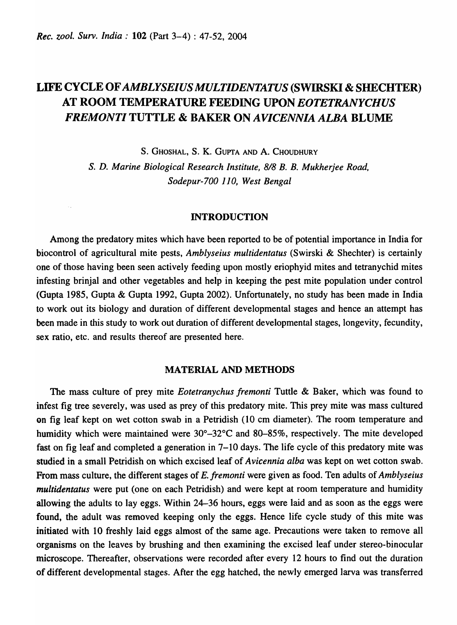# LIFE CYCLE OF *AMBLYSEIUS MULTIDENTATUS* (SWIRSKI & SHECHTER) AT ROOM TEMPERATURE FEEDING UPON *EOTETRANYCHUS FREMONTI* TUTTLE & BAKER ON *AVICENNIA ALBA* BLUME

S. GHOSHAL, S. K. GUPTA AND A. CHOUDHURY

*S.* D. *Marine Biological Research Institute,* 8/8 *B. B. Mukherjee Road, Sodepur-700 110, West Bengal* 

#### INTRODUCTION

Among the predatory mites which have been reported to be of potential importance in India for biocontrol of agricultural mite pests, *Amblyseius multidentatus* (Swirski & Shechter) is certainly one of those having been seen actively feeding upon mostly eriophyid mites and tetranychid mites infesting brinjal and other vegetables and help in keeping the pest mite population under control (Gupta 1985, Gupta & Gupta 1992, Gupta 2002). Unfortunately, no study has been made in India to work out its biology and duration of different developmental stages and hence an attempt has been made in this study to work out duration of different developmental stages, longevity, fecundity, sex ratio, etc. and results thereof are presented here.

## MATERIAL AND METHODS

The mass culture of prey mite *Eotetranychus fremonti* Tuttle & Baker, which was found to infest fig tree severely, was used as prey of this predatory mite. This prey mite was mass cultured on fig leaf kept on wet cotton swab in a Petridish (10 cm diameter). The room temperature and humidity which were maintained were 30°-32°C and 80-85%, respectively. The mite developed fast on fig leaf and completed a generation in 7–10 days. The life cycle of this predatory mite was studied in a small Petridish on which excised leaf of *Avicennia alba* was kept on wet cotton swab. From mass culture, the different stages of *E. fremonti* were given as food. Ten adults of *Amblyseius multidentatus* were put (one on each Petridish) and were kept at room temperature and humidity allowing the adults to lay eggs. Within 24-36 hours, eggs were laid and as soon as the eggs were found, the adult was removed keeping only the eggs. Hence life cycle study of this mite was initiated with 10 freshly laid eggs almost of the same age. Precautions were taken to remove all organisms on the leaves by brushing and then examining the excised leaf under stereo-binocular microscope. Thereafter, observations were recorded after every 12 hours to find out the duration of different developmental stages. After the egg hatched, the newly emerged larva was transferred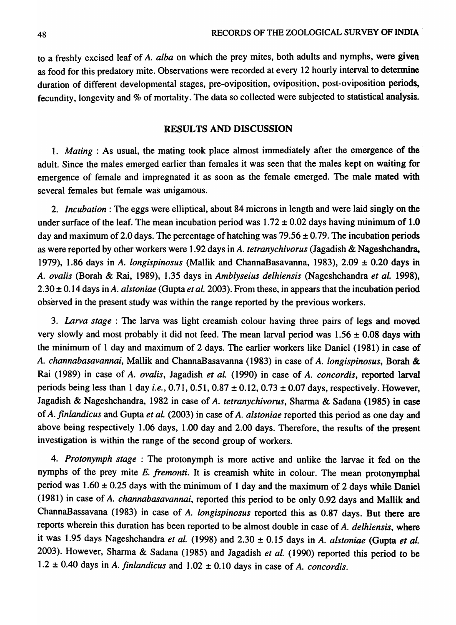to a freshly excised leaf of *A. alba* on which the prey mites, both adults and nymphs, were given as food for this predatory mite. Observations were recorded at every 12 hourly interval to determine duration of different developmental stages, pre-oviposition, oviposition, post-oviposition periods, fecundity, longevity and % of mortality. The data so collected were subjected to statistical analysis.

### RESULTS AND DISCUSSION

1. *Mating:* As usual, the mating took place almost immediately after the emergence of the . adult. Since the males emerged earlier than females it was seen that the males kept on waiting for emergence of female and impregnated it as soon as the female emerged. The male mated with several females but female was unigamous.

2. *Incubation:* The eggs were elliptical, about 84 microns in length and were laid singly on the under surface of the leaf. The mean incubation period was  $1.72 \pm 0.02$  days having minimum of 1.0 day and maximum of 2.0 days. The percentage of hatching was  $79.56 \pm 0.79$ . The incubation periods as were reported by other workers were 1.92 days in A. *tetranychivorus* (Jagadish & Nageshchandra, 1979), 1.86 days in A. *longispinosus* (Mallik and ChannaBasavanna, 1983),  $2.09 \pm 0.20$  days in A. *ovalis* (Borah & Rai, 1989), 1.35 days in *Amblyseius delhiensis* (Nageshchandra *et ale* 1998), 2.30  $\pm$  0.14 days in A. *alstoniae* (Gupta *et al.* 2003). From these, in appears that the incubation period observed in the present study was within the range reported by the previous workers.

*3. Larva stage:* The larva was light creamish colour having three pairs of legs and moved very slowly and most probably it did not feed. The mean larval period was  $1.56 \pm 0.08$  days with the minimum of 1 day and maximum of 2 days. The earlier workers like Daniel (1981) in case of A. *channabasavannai,* Mallik and ChannaBasavanna (1983) in case of A. *longispinosus,* Borah & Rai (1989) in case of A. *ovalis,* Jagadish *et ale* (1990) in case of A. *concordis,* reported larval periods being less than 1 day *i.e.,* 0.71, 0.51, 0.87 ± 0.12,0.73 ± 0.07 days, respectively. However, Jagadish & Nageshchandra, 1982 in case of *A. tetranychivorus,* Sharma & Sadana (1985) in case of *A. finlandicus* and Gupta *et al.* (2003) in case of *A. alstoniae* reported this period as one day and above being respectively 1.06 days, 1.00 day and 2.00 days. Therefore, the results of the present investigation is within the range of the second group of workers.

4. Protonymph stage: The protonymph is more active and unlike the larvae it fed on the nymphs of the prey mite *E. fremonti.* It is creamish white in colour. The mean protonymphal period was  $1.60 \pm 0.25$  days with the minimum of 1 day and the maximum of 2 days while Daniel (1981) in case of *A. channabasavannai,* reported this period to be only 0.92 days and Mallik and ChannaBassavana (1983) in case of *A. longispinosus* reported this as 0.87 days. But there are reports wherein this duration has been reported to be almost double in case of *A. delhiensis,* where it was 1.95 days Nageshchandra *et al.* (1998) and 2.30  $\pm$  0.15 days in *A. alstoniae* (Gupta *et al.* 2003). However, Sharma & Sadana (1985) and Jagadish et al. (1990) reported this period to be  $1.2 \pm 0.40$  days in *A. finlandicus* and  $1.02 \pm 0.10$  days in case of *A. concordis.*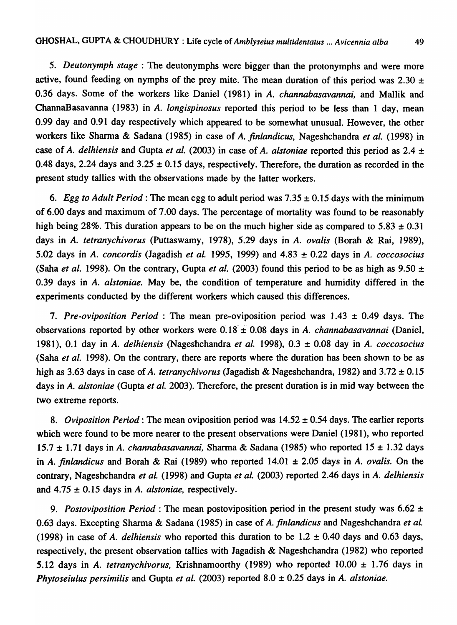*5. Deutonymph stage* : The deutonymphs were bigger than the protonymphs and were more active, found feeding on nymphs of the prey mite. The mean duration of this period was 2.30  $\pm$ 0.36 days. Some of the workers like Daniel (1981) in *A. channabasavannai,* and Mallik and ChannaBasavanna (1983) in *A. longispinosus* reported this period to be less than 1 day, mean 0.99 day and 0.91 day respectively which appeared to be somewhat unusual. However, the other workers like Sharma & Sadana (1985) in case of *A. finlandicus*, Nageshchandra *et al.* (1998) in case of *A. delhiensis* and Gupta *et al.* (2003) in case of *A. alstoniae* reported this period as  $2.4 \pm$ 0.48 days, 2.24 days and  $3.25 \pm 0.15$  days, respectively. Therefore, the duration as recorded in the present study tallies with the observations made by the latter workers.

*6. Egg to Adult Period:* The mean egg to adult period was 7.35 ± 0.15 days with the minimum of 6.00 days and maximum of 7.00 days. The percentage of mortality was found to be reasonably high being 28%. This duration appears to be on the much higher side as compared to  $5.83 \pm 0.31$ days in *A. tetranychivorus* (Puttaswamy, 1978), 5.29 days in *A. ovalis* (Borah & Rai, 1989), 5.02 days in *A. concordis* (Jagadish *et al.* 1995, 1999) and 4.83 ± 0.22 days in *A. coccosocius*  (Saha *et al.* 1998). On the contrary, Gupta *et al.* (2003) found this period to be as high as  $9.50 \pm$ 0.39 days in *A. alstoniae.* May be, the condition of temperature and humidity differed in the experiments conducted by the different workers which caused this differences.

*7. Pre-oviposition Period* : The mean pre-oviposition period was 1.43 ± 0.49 days. The observations reported by other workers were 0.18- ±' 0.08 days in *A. channabasavannai* (Daniel, 1981), 0.1 day in *A. delhiensis* (Nageshchandra *et ale* 1998), 0.3 ± 0.08 day in *A. coccosocius*  (Saha *et al.* 1998). On the contrary, there are reports where the duration has been shown to be as high as 3.63 days in case of *A. tetranychivorus* (Jagadish & Nageshchandra, 1982) and 3.72 ± 0.15 days in *A. alstoniae* (Gupta *et al.* 2003). Therefore, the present duration is in mid way between the two extreme reports.

*8. Oviposition Period:* The mean oviposition period was 14.52 ± 0.54 days. The earlier reports which were found to be more nearer to the present observations were Daniel (1981), who reported 15.7 ± 1.71 days in *A. channabasavannai,* Sharma & Sadana (1985) who reported 15 ± 1.32 days in *A. finlandicus* and Borab & Rai (1989) who reported 14.01 ± 2.05 days in *A. ovalis.* On the contrary, Nageshchandra *et al.* (1998) and Gupta *et al.* (2003) reported 2.46 days in *A. delhiensis* and 4.75 ± 0.15 days in *A. alstoniae,* respectively.

*9. Postoviposition Period:* The mean postoviposition period in the present study was 6.62 ± 0.63 days. Excepting Sharma & Sadana (1985) in case of *A. finlandicus* and Nageshchandra *et ale*  (1998) in case of *A. delhiensis* who reported this duration to be  $1.2 \pm 0.40$  days and 0.63 days, respectively, the present observation tallies with Jagadish & Nageshchandra (1982) who reported 5.12 days in *A. tetranychivorus,* Krishnamoorthy (1989) who reported 10.00 ± 1.76 days in *Phytoseiulus persimilis* and Gupta *et al.* (2003) reported 8.0 ± 0.25 days in *A. alstoniae.*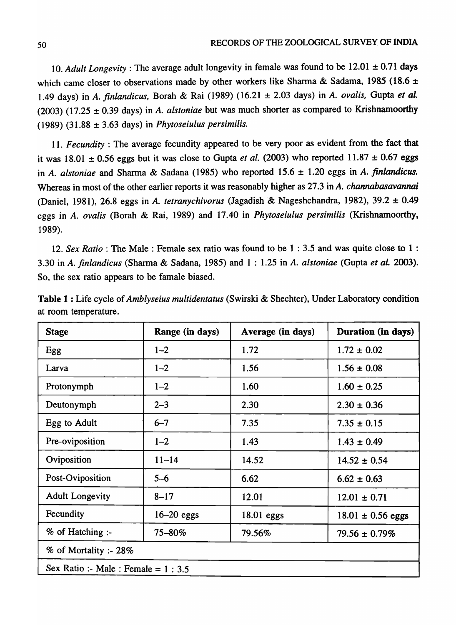*10. Adult Longevity* : The average adult longevity in female was found to be 12.01 ± 0.71 days which came closer to observations made by other workers like Sharma & Sadama, 1985 (18.6  $\pm$ 1.49 days) in *A. finlandicus*, Borah & Rai (1989) (16.21 ± 2.03 days) in *A. ovalis*, Gupta *et al.* (2003) (17.25 ± 0.39 days) in *A. alstoniae* but was much shorter as compared to Krishnamoorthy (1989) (31.88 ± 3.63 days) in *Phytoseiulus persimilis.* 

11. *Fecundity* : The average fecundity appeared to be very poor as evident from the fact that it was  $18.01 \pm 0.56$  eggs but it was close to Gupta *et al.* (2003) who reported  $11.87 \pm 0.67$  eggs in *A. alstoniae* and Sharma & Sadana (1985) who reported 15.6 ± 1.20 eggs in A. *finlandicus.*  Whereas in most of the other earlier reports it was reasonably higher as 27.3 in A. *channabasavannai*  (Daniel, 1981),26.8 eggs in *A. tetranychivorus* (Jagadish & Nageshchandra, 1982), 39.2 ± 0.49 eggs in *A. ovalis* (Borah & Rai, 1989) and 17.40 in *Phytoseiulus persimilis* (Krishnamoorthy, 1989).

*12. Sex Ratio:* The Male: Female sex ratio was found to be 1 : 3.5 and was quite close to 1 : 3.30 in *A. finlandicus* (Sharma & Sadana, 1985) and 1 : 1.25 in *A. alstoniae* (Gupta *et ale 2003).*  So, the sex ratio appears to be famale biased.

| <b>Stage</b>                         | Range (in days) | Average (in days) | Duration (in days)    |
|--------------------------------------|-----------------|-------------------|-----------------------|
| Egg                                  | $1 - 2$         | 1.72              | $1.72 \pm 0.02$       |
| Larva                                | $1 - 2$         | 1.56              | $1.56 \pm 0.08$       |
| Protonymph                           | $1 - 2$         | 1.60              | $1.60 \pm 0.25$       |
| Deutonymph                           | $2 - 3$         | 2.30              | $2.30 \pm 0.36$       |
| Egg to Adult                         | $6 - 7$         | 7.35              | $7.35 \pm 0.15$       |
| Pre-oviposition                      | $1 - 2$         | 1.43              | $1.43 \pm 0.49$       |
| Oviposition                          | $11 - 14$       | 14.52             | $14.52 \pm 0.54$      |
| Post-Oviposition                     | $5-6$           | 6.62              | $6.62 \pm 0.63$       |
| <b>Adult Longevity</b>               | $8 - 17$        | 12.01             | $12.01 \pm 0.71$      |
| Fecundity                            | $16-20$ eggs    | 18.01 eggs        | $18.01 \pm 0.56$ eggs |
| % of Hatching :-                     | $75 - 80\%$     | 79.56%            | $79.56 \pm 0.79\%$    |
| % of Mortality :- 28%                |                 |                   |                       |
| Sex Ratio :- Male : Female = $1:3.5$ |                 |                   |                       |

Table 1 : Life cycle of *Amblyseius multidentatus* (Swirski & Shechter), Under Laboratory condition at room temperature.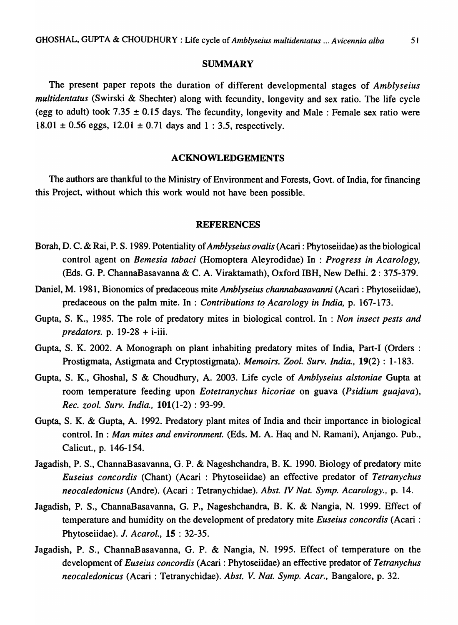### **SUMMARY**

The present paper repots the duration of different developmental stages of *Amblyseius multidentatus* (Swirski & Shechter) along with fecundity, longevity and sex ratio. The life cycle (egg to adult) took 7.35  $\pm$  0.15 days. The fecundity, longevity and Male: Female sex ratio were  $18.01 \pm 0.56$  eggs,  $12.01 \pm 0.71$  days and  $1 : 3.5$ , respectively.

#### ACKNOWLEDGEMENTS

The authors are thankful to the Ministry of Environment and Forests, Govt. of India, for financing this Project, without which this work would not have been possible.

#### REFERENCES

- Borah, D. C. & Rai, P. S. 1989. Potentiality of *Amblyseius ovalis* (Acari: Phytoseiidae) as the biological control agent on *Bemesia tabaci* (Homoptera Aleyrodidae) In : *Progress in Acarology,*  (Eds. G. P. ChannaBasavanna & C. A. Viraktamath), Oxford IBH, New Delhi. 2 : 375-379.
- Daniel, M. 1981, Bionomics of predaceous mite *Amblyseius channabasavanni* (Acari : Phytoseiidae), predaceous on the palm mite. In : *Contributions to Acarology in India*, p. 167-173.
- Gupta, S. K., 1985. The role of predatory mites in biological control. In : *Non insect pests and predators.* p. 19-28 + i-iii.
- Gupta, S. K. 2002. A Monograph on plant inhabiting predatory mites of India, Part-I (Orders: Prostigmata, Astigmata and Cryptostigmata). *Memoirs. Zoo/. Surv. India.,* 19(2) : 1-183.
- Gupta, S. K., Ghoshal, S & Choudhury, A. 2003. Life cycle of *Amblyseius alstoniae* Gupta at room temperature feeding upon *Eotetranychus hicoriae* on guava *(Psidium guajava), Rec. zoo/. Surv. India.,* 101(1-2) : 93-99.
- Gupta, S. K. & Gupta, A. 1992. Predatory plant mites of India and their importance in biological control. In : *Man mites and environment.* (Eds. M. A. Haq and N. Ramani), Anjango. Pub., Calicut., p. 146-154.
- Jagadish, P. S., ChannaBasavanna, G. P. & Nageshchandra, B. K. 1990. Biology of predatory mite *Euseius concordis* (Chant) (Acari: Phytoseiidae) an effective predator of *Tetranychus neocaledonicus* (Andre). (Acari: Tetranychidae). *Abst. IV Nat. Symp. Acarology.,* p. 14.
- Jagadish, P. S., ChannaBasavanna, G. P., Nageshchandra, B. K. & Nangia, N. 1999. Effect of temperature and humidity on the development of predatory mite *Euseius concordis* (Acari : Phytoseiidae). J. *Acarol.,* 15 : 32-35.
- Jagadish, P. S., ChannaBasavanna, G. P. & Nangia, N. 1995. Effect of temperature on the development of *Euseius concordis* (Acari: Phytoseiidae) an effective predator of *Tetranychus neocaledonicus* (Acari: Tetranychidae). *Abst. V. Nat. Symp. Acar.,* Bangalore, p. 32.